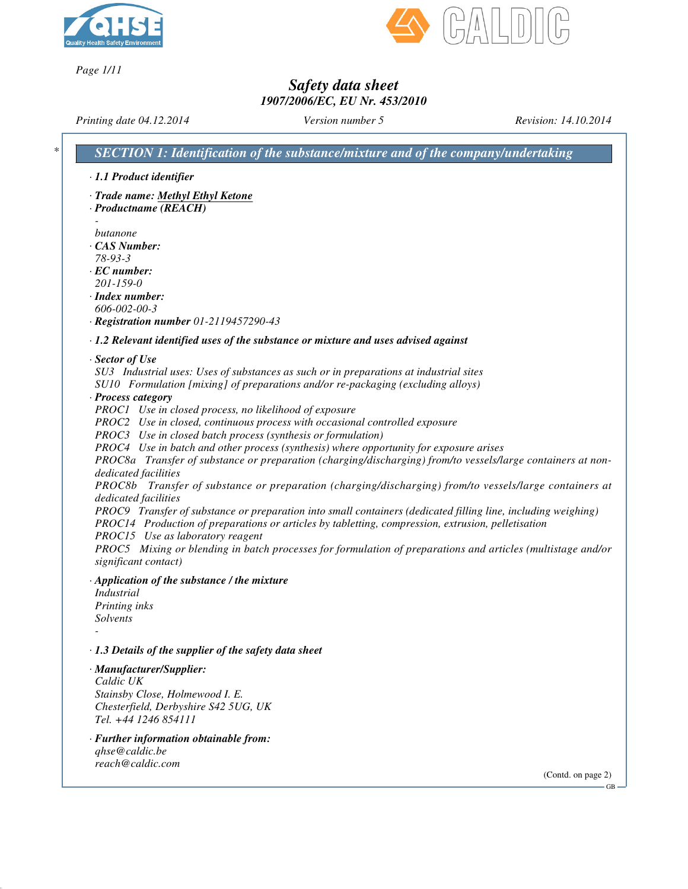

*Page 1/11*



### *Safety data sheet 1907/2006/EC, EU Nr. 453/2010*

*Printing date 04.12.2014 Version number 5 Revision: 14.10.2014 \* SECTION 1: Identification of the substance/mixture and of the company/undertaking · 1.1 Product identifier · Trade name: Methyl Ethyl Ketone · Productname (REACH) butanone · CAS Number: 78-93-3 · EC number: 201-159-0 · Index number: 606-002-00-3 · Registration number 01-2119457290-43 · 1.2 Relevant identified uses of the substance or mixture and uses advised against · Sector of Use SU3 Industrial uses: Uses of substances as such or in preparations at industrial sites SU10 Formulation [mixing] of preparations and/or re-packaging (excluding alloys) · Process category PROC1 Use in closed process, no likelihood of exposure PROC2 Use in closed, continuous process with occasional controlled exposure PROC3 Use in closed batch process (synthesis or formulation) PROC4 Use in batch and other process (synthesis) where opportunity for exposure arises PROC8a Transfer of substance or preparation (charging/discharging) from/to vessels/large containers at nondedicated facilities PROC8b Transfer of substance or preparation (charging/discharging) from/to vessels/large containers at dedicated facilities PROC9 Transfer of substance or preparation into small containers (dedicated filling line, including weighing) PROC14 Production of preparations or articles by tabletting, compression, extrusion, pelletisation PROC15 Use as laboratory reagent PROC5 Mixing or blending in batch processes for formulation of preparations and articles (multistage and/or significant contact) · Application of the substance / the mixture Industrial Printing inks Solvents - · 1.3 Details of the supplier of the safety data sheet · Manufacturer/Supplier: Caldic UK Stainsby Close, Holmewood I. E. Chesterfield, Derbyshire S42 5UG, UK Tel. +44 1246 854111 · Further information obtainable from: qhse@caldic.be*

*reach@caldic.com*

(Contd. on page 2)

GB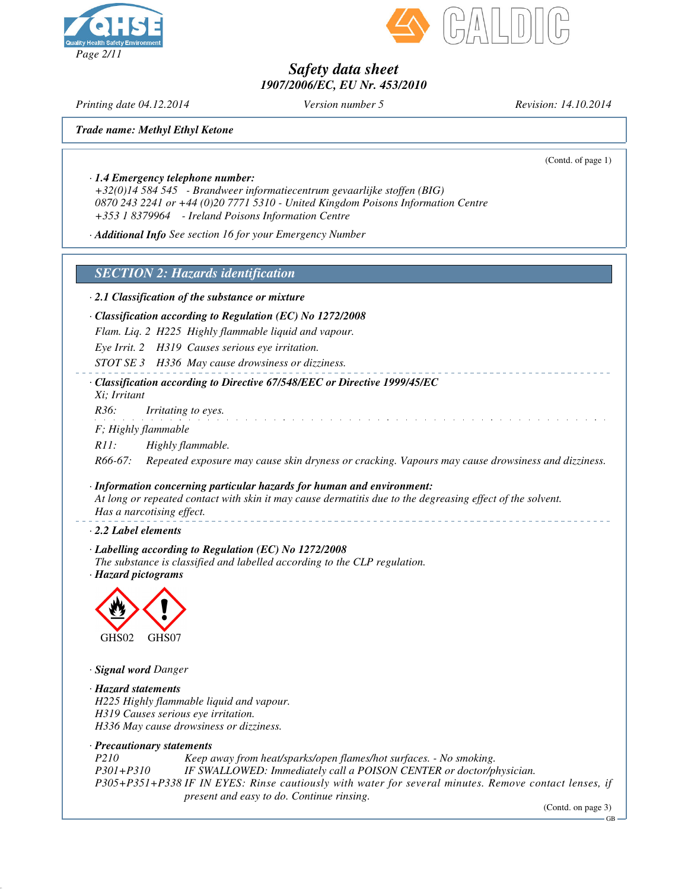



*Printing date 04.12.2014 Version number 5 Revision: 14.10.2014*

*Trade name: Methyl Ethyl Ketone*

(Contd. of page 1)

*· 1.4 Emergency telephone number:*

*+32(0)14 584 545 - Brandweer informatiecentrum gevaarlijke stoffen (BIG) 0870 243 2241 or +44 (0)20 7771 5310 - United Kingdom Poisons Information Centre +353 1 8379964 - Ireland Poisons Information Centre*

*· Additional Info See section 16 for your Emergency Number*

*SECTION 2: Hazards identification*

*· 2.1 Classification of the substance or mixture*

*· Classification according to Regulation (EC) No 1272/2008*

*Flam. Liq. 2 H225 Highly flammable liquid and vapour.*

*Eye Irrit. 2 H319 Causes serious eye irritation.*

*STOT SE 3 H336 May cause drowsiness or dizziness.*

*· Classification according to Directive 67/548/EEC or Directive 1999/45/EC Xi; Irritant*

*R36: Irritating to eyes.*

*F; Highly flammable*

*R11: Highly flammable.*

*R66-67: Repeated exposure may cause skin dryness or cracking. Vapours may cause drowsiness and dizziness.*

*· Information concerning particular hazards for human and environment:* At long or repeated contact with skin it may cause dermatitis due to the degreasing effect of the solvent. *Has a narcotising effect.*

*· 2.2 Label elements*

*· Labelling according to Regulation (EC) No 1272/2008 The substance is classified and labelled according to the CLP regulation. · Hazard pictograms*



*· Signal word Danger*

*· Hazard statements H225 Highly flammable liquid and vapour. H319 Causes serious eye irritation. H336 May cause drowsiness or dizziness.*

*· Precautionary statements*

*P210 Keep away from heat/sparks/open flames/hot surfaces. - No smoking. P301+P310 IF SWALLOWED: Immediately call a POISON CENTER or doctor/physician. P305+P351+P338 IF IN EYES: Rinse cautiously with water for several minutes. Remove contact lenses, if present and easy to do. Continue rinsing.*

(Contd. on page 3)

GB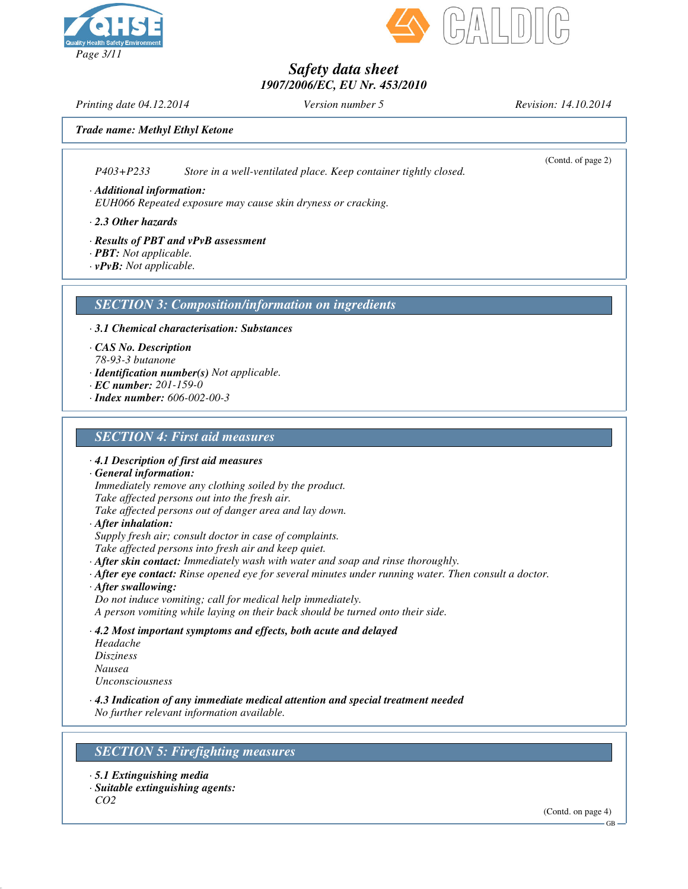



*Printing date 04.12.2014 Version number 5 Revision: 14.10.2014*

(Contd. of page 2)

*Trade name: Methyl Ethyl Ketone*

*P403+P233 Store in a well-ventilated place. Keep container tightly closed.*

*· Additional information: EUH066 Repeated exposure may cause skin dryness or cracking.*

*· 2.3 Other hazards*

*· Results of PBT and vPvB assessment*

- *· PBT: Not applicable.*
- *· vPvB: Not applicable.*

### *SECTION 3: Composition/information on ingredients*

*· 3.1 Chemical characterisation: Substances*

*· CAS No. Description*

*78-93-3 butanone*

- *· Identification number(s) Not applicable.*
- *· EC number: 201-159-0*
- *· Index number: 606-002-00-3*

### *SECTION 4: First aid measures*

*· 4.1 Description of first aid measures*

*· General information:*

*Immediately remove any clothing soiled by the product.*

*Take affected persons out into the fresh air.*

*Take affected persons out of danger area and lay down.*

*· After inhalation:*

*Supply fresh air; consult doctor in case of complaints.*

*Take affected persons into fresh air and keep quiet.*

- *· After skin contact: Immediately wash with water and soap and rinse thoroughly.*
- *· After eye contact: Rinse opened eye for several minutes under running water. Then consult a doctor.*
- *· After swallowing:*

*Do not induce vomiting; call for medical help immediately. A person vomiting while laying on their back should be turned onto their side.*

*· 4.2 Most important symptoms and effects, both acute and delayed Headache Disziness Nausea*

*Unconsciousness*

*· 4.3 Indication of any immediate medical attention and special treatment needed No further relevant information available.*

### *SECTION 5: Firefighting measures*

- *· 5.1 Extinguishing media*
- *· Suitable extinguishing agents: CO2*

(Contd. on page 4)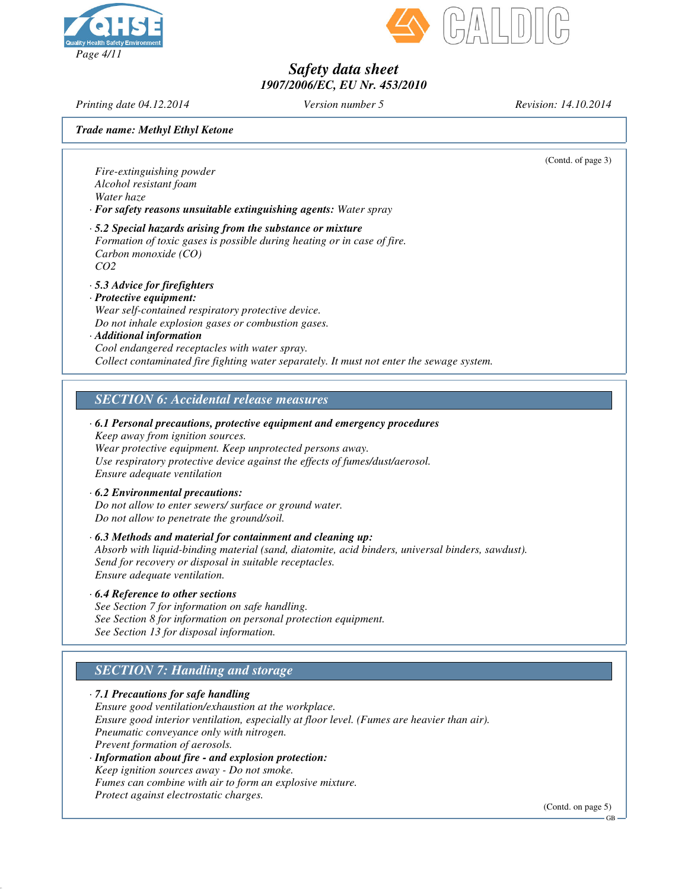



*Printing date 04.12.2014 Version number 5 Revision: 14.10.2014*

*Trade name: Methyl Ethyl Ketone*

(Contd. of page 3)

*Fire-extinguishing powder Alcohol resistant foam Water haze · For safety reasons unsuitable extinguishing agents: Water spray · 5.2 Special hazards arising from the substance or mixture*

- *Formation of toxic gases is possible during heating or in case of fire. Carbon monoxide (CO) CO2*
- *· 5.3 Advice for firefighters*

#### *· Protective equipment: Wear self-contained respiratory protective device. Do not inhale explosion gases or combustion gases.*

#### *· Additional information Cool endangered receptacles with water spray. Collect contaminated fire fighting water separately. It must not enter the sewage system.*

### *SECTION 6: Accidental release measures*

*· 6.1 Personal precautions, protective equipment and emergency procedures Keep away from ignition sources. Wear protective equipment. Keep unprotected persons away. Use respiratory protective device against the effects of fumes/dust/aerosol. Ensure adequate ventilation*

#### *· 6.2 Environmental precautions:*

*Do not allow to enter sewers/ surface or ground water. Do not allow to penetrate the ground/soil.*

*· 6.3 Methods and material for containment and cleaning up: Absorb with liquid-binding material (sand, diatomite, acid binders, universal binders, sawdust). Send for recovery or disposal in suitable receptacles. Ensure adequate ventilation.*

#### *· 6.4 Reference to other sections*

*See Section 7 for information on safe handling. See Section 8 for information on personal protection equipment. See Section 13 for disposal information.*

### *SECTION 7: Handling and storage*

*· 7.1 Precautions for safe handling Ensure good ventilation/exhaustion at the workplace. Ensure good interior ventilation, especially at floor level. (Fumes are heavier than air). Pneumatic conveyance only with nitrogen. Prevent formation of aerosols. · Information about fire - and explosion protection: Keep ignition sources away - Do not smoke. Fumes can combine with air to form an explosive mixture.*

*Protect against electrostatic charges.*

(Contd. on page 5)

GB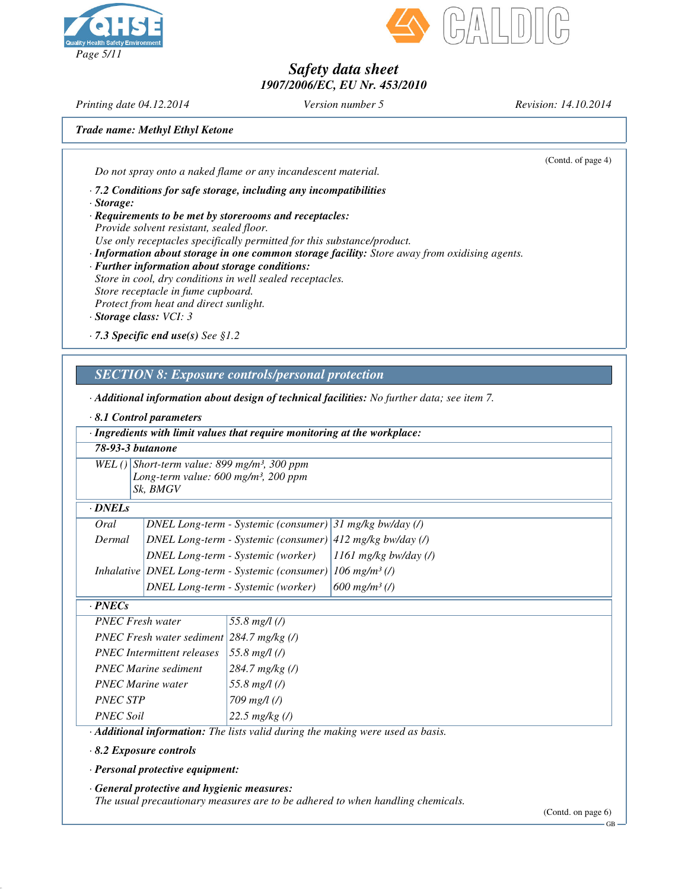



*Printing date 04.12.2014 Version number 5 Revision: 14.10.2014*

*Trade name: Methyl Ethyl Ketone*

(Contd. of page 4)

*Do not spray onto a naked flame or any incandescent material.*

*· 7.2 Conditions for safe storage, including any incompatibilities*

*· Storage:*

*· Requirements to be met by storerooms and receptacles: Provide solvent resistant, sealed floor.*

*Use only receptacles specifically permitted for this substance/product.*

*· Information about storage in one common storage facility: Store away from oxidising agents.*

*· Further information about storage conditions: Store in cool, dry conditions in well sealed receptacles. Store receptacle in fume cupboard. Protect from heat and direct sunlight.*

*· Storage class: VCI: 3*

*· 7.3 Specific end use(s) See §1.2*

*SECTION 8: Exposure controls/personal protection*

*· Additional information about design of technical facilities: No further data; see item 7.*

### *· 8.1 Control parameters*

| · Ingredients with limit values that require monitoring at the workplace:       |                                                                      |                                                             |                             |  |  |
|---------------------------------------------------------------------------------|----------------------------------------------------------------------|-------------------------------------------------------------|-----------------------------|--|--|
| 78-93-3 <i>butanone</i>                                                         |                                                                      |                                                             |                             |  |  |
| WEL()                                                                           |                                                                      | Short-term value: 899 mg/m <sup>3</sup> , 300 ppm           |                             |  |  |
|                                                                                 | Long-term value: $600 \text{ mg/m}^3$ , 200 ppm<br>Sk, BMGV          |                                                             |                             |  |  |
|                                                                                 |                                                                      |                                                             |                             |  |  |
| · DNELs                                                                         |                                                                      |                                                             |                             |  |  |
| Oral                                                                            | <b>DNEL Long-term - Systemic (consumer)</b><br>$31$ mg/kg bw/day (/) |                                                             |                             |  |  |
| Dermal                                                                          |                                                                      | DNEL Long-term - Systemic (consumer)   412 mg/kg bw/day (/) |                             |  |  |
|                                                                                 |                                                                      | DNEL Long-term - Systemic (worker)                          | $1161$ mg/kg bw/day (/)     |  |  |
|                                                                                 |                                                                      | Inhalative   DNEL Long-term - Systemic (consumer)           | $106$ mg/m <sup>3</sup> (/) |  |  |
|                                                                                 |                                                                      | DNEL Long-term - Systemic (worker)                          | $600$ mg/m <sup>3</sup> (/) |  |  |
| $\cdot$ PNECs                                                                   |                                                                      |                                                             |                             |  |  |
| <b>PNEC Fresh water</b>                                                         |                                                                      | 55.8 $mg/l$ (/)                                             |                             |  |  |
| PNEC Fresh water sediment $ 284.7 \text{ mg/kg}$ (/)                            |                                                                      |                                                             |                             |  |  |
| <b>PNEC</b> Intermittent releases                                               |                                                                      | 55.8 $mg/l$ (/)                                             |                             |  |  |
| <b>PNEC Marine sediment</b>                                                     |                                                                      | $284.7$ mg/kg (/)                                           |                             |  |  |
| <b>PNEC Marine water</b>                                                        |                                                                      | 55.8 $mg/l$ (/)                                             |                             |  |  |
| <b>PNEC STP</b>                                                                 |                                                                      | 709 $mg/l$ (/)                                              |                             |  |  |
| <b>PNEC Soil</b>                                                                |                                                                      | 22.5 $mg/kg$ (/)                                            |                             |  |  |
| · Additional information: The lists valid during the making were used as basis. |                                                                      |                                                             |                             |  |  |
| $\sim$ $\sim$ $\sim$                                                            |                                                                      |                                                             |                             |  |  |

*· 8.2 Exposure controls*

*· Personal protective equipment:*

*· General protective and hygienic measures:*

*The usual precautionary measures are to be adhered to when handling chemicals.*

GB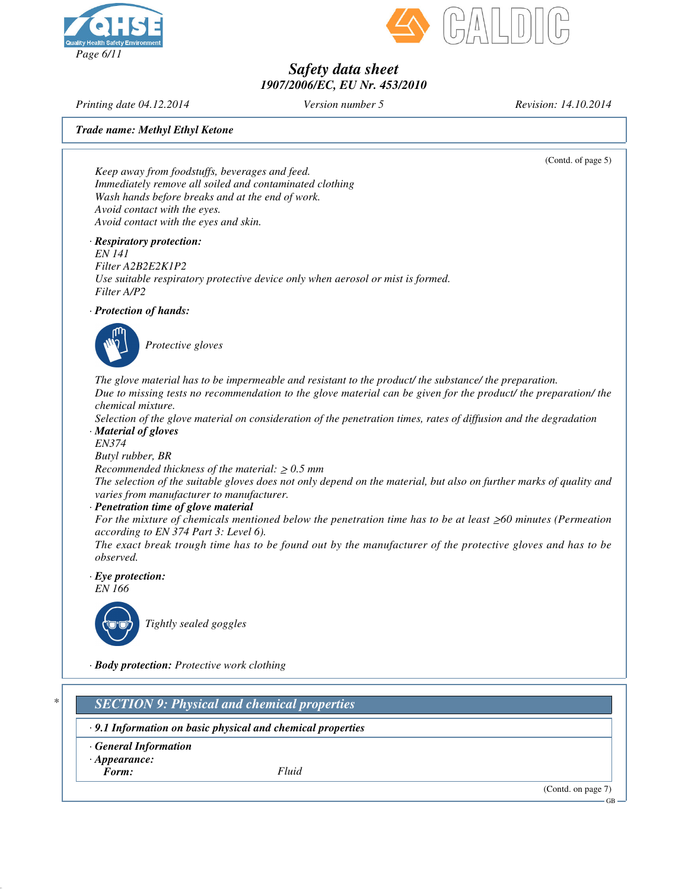



*Printing date 04.12.2014 Version number 5 Revision: 14.10.2014*

*Trade name: Methyl Ethyl Ketone*

(Contd. of page 5)

*Keep away from foodstuffs, beverages and feed. Immediately remove all soiled and contaminated clothing Wash hands before breaks and at the end of work. Avoid contact with the eyes. Avoid contact with the eyes and skin.*

*· Respiratory protection:*

*EN 141 Filter A2B2E2K1P2 Use suitable respiratory protective device only when aerosol or mist is formed. Filter A/P2*

*· Protection of hands:*



*Protective gloves*

*The glove material has to be impermeable and resistant to the product/ the substance/ the preparation.* Due to missing tests no recommendation to the glove material can be given for the product/ the preparation/ the *chemical mixture.*

Selection of the glove material on consideration of the penetration times, rates of diffusion and the degradation *· Material of gloves*

*EN374*

*Butyl rubber, BR*

*Recommended thickness of the material:*  $\geq 0.5$  *mm* 

The selection of the suitable gloves does not only depend on the material, but also on further marks of quality and *varies from manufacturer to manufacturer.*

*· Penetration time of glove material*

For the mixture of chemicals mentioned below the penetration time has to be at least  $\geq 60$  minutes (Permeation *according to EN 374 Part 3: Level 6).*

The exact break trough time has to be found out by the manufacturer of the protective gloves and has to be *observed.*

*· Eye protection:*



*EN 166*

*Tightly sealed goggles*

*· Body protection: Protective work clothing*

*\* SECTION 9: Physical and chemical properties*

*· 9.1 Information on basic physical and chemical properties*

- *· General Information*
- *· Appearance:*

*Form: Fluid*

(Contd. on page 7)

GB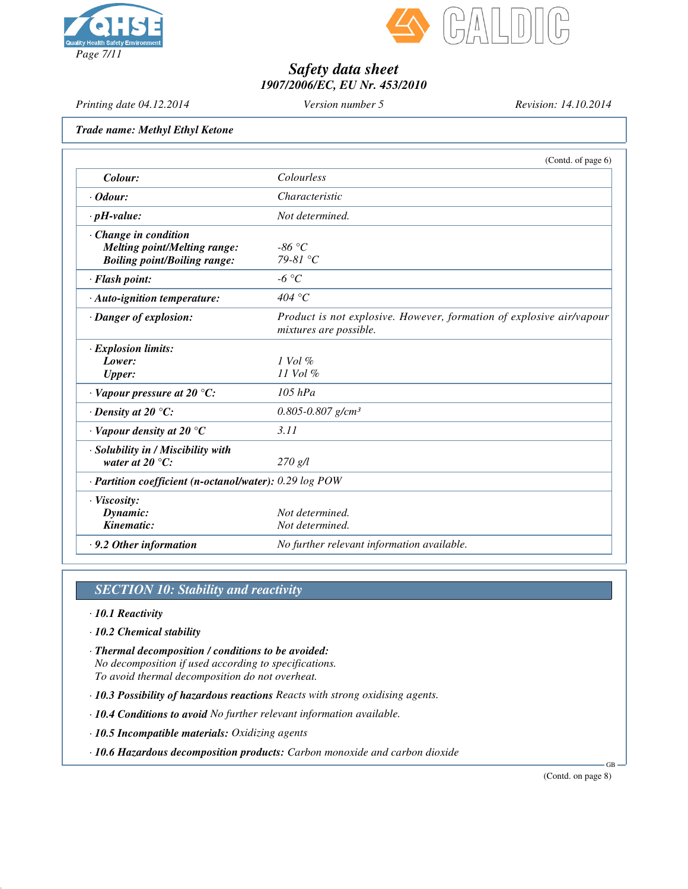



*Printing date 04.12.2014 Version number 5 Revision: 14.10.2014*

*Trade name: Methyl Ethyl Ketone*

|                                                         | (Contd. of page 6)                                                                             |  |
|---------------------------------------------------------|------------------------------------------------------------------------------------------------|--|
| Colour:                                                 | Colourless                                                                                     |  |
| $\cdot$ Odour:                                          | Characteristic                                                                                 |  |
| $\cdot$ pH-value:                                       | Not determined.                                                                                |  |
| $\cdot$ Change in condition                             |                                                                                                |  |
| <b>Melting point/Melting range:</b>                     | $-86\degree C$                                                                                 |  |
| <b>Boiling point/Boiling range:</b>                     | $79-81$ °C                                                                                     |  |
| · Flash point:                                          | $-6 °C$                                                                                        |  |
| · Auto-ignition temperature:                            | 404 °C                                                                                         |  |
| · Danger of explosion:                                  | Product is not explosive. However, formation of explosive air/vapour<br>mixtures are possible. |  |
| $\cdot$ Explosion limits:                               |                                                                                                |  |
| Lower:                                                  | $1$ Vol $\%$                                                                                   |  |
| <b>Upper:</b>                                           | 11 Vol %                                                                                       |  |
| $\cdot$ Vapour pressure at 20 °C:                       | $105$ $hPa$                                                                                    |  |
| $\cdot$ Density at 20 $\degree$ C:                      | $0.805 - 0.807$ g/cm <sup>3</sup>                                                              |  |
| $\cdot$ Vapour density at 20 $\degree$ C                | 3.11                                                                                           |  |
| · Solubility in / Miscibility with                      |                                                                                                |  |
| water at 20 $^{\circ}C$ :                               | 270 g/l                                                                                        |  |
| · Partition coefficient (n-octanol/water): 0.29 log POW |                                                                                                |  |
| · Viscosity:                                            |                                                                                                |  |
| Dynamic:                                                | Not determined.                                                                                |  |
| Kinematic:                                              | Not determined.                                                                                |  |
| $\cdot$ 9.2 Other information                           | No further relevant information available.                                                     |  |
|                                                         |                                                                                                |  |

# *SECTION 10: Stability and reactivity*

- *· 10.1 Reactivity*
- *· 10.2 Chemical stability*
- *· Thermal decomposition / conditions to be avoided: No decomposition if used according to specifications. To avoid thermal decomposition do not overheat.*
- *· 10.3 Possibility of hazardous reactions Reacts with strong oxidising agents.*
- *· 10.4 Conditions to avoid No further relevant information available.*
- *· 10.5 Incompatible materials: Oxidizing agents*
- *· 10.6 Hazardous decomposition products: Carbon monoxide and carbon dioxide*

(Contd. on page 8)

GB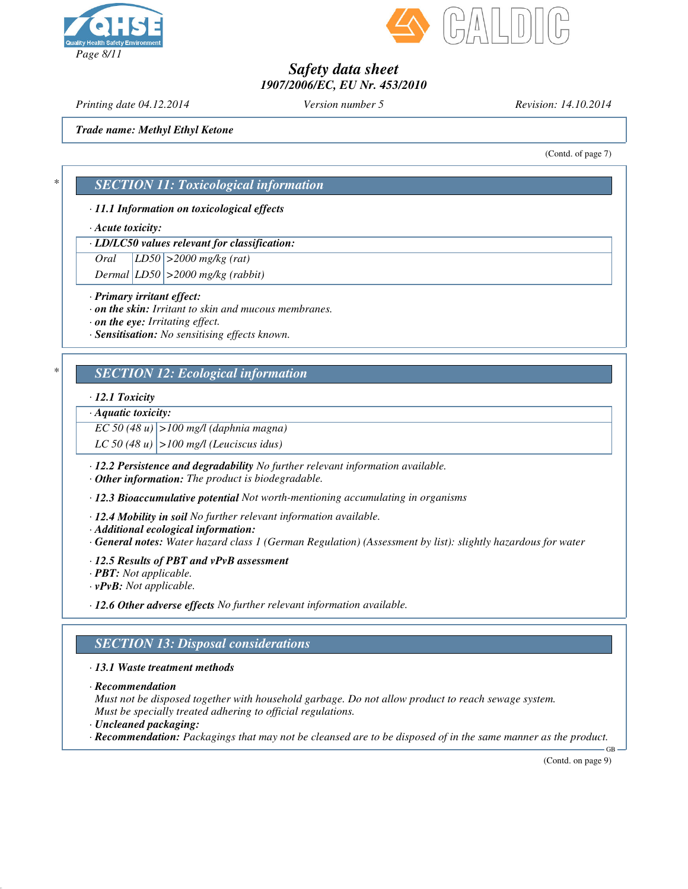



*Printing date 04.12.2014 Version number 5 Revision: 14.10.2014*

*Trade name: Methyl Ethyl Ketone*

(Contd. of page 7)

### *\* SECTION 11: Toxicological information*

### *· 11.1 Information on toxicological effects*

#### *· Acute toxicity:*

### *· LD/LC50 values relevant for classification:*

*Oral LD50 >2000 mg/kg (rat)*

*Dermal LD50 >2000 mg/kg (rabbit)*

#### *· Primary irritant effect:*

*· on the skin: Irritant to skin and mucous membranes.*

*· on the eye: Irritating effect.*

*· Sensitisation: No sensitising effects known.*

### *\* SECTION 12: Ecological information*

#### *· 12.1 Toxicity*

### *· Aquatic toxicity:*

*EC 50 (48 u) >100 mg/l (daphnia magna)*

*LC 50 (48 u) >100 mg/l (Leuciscus idus)*

*· 12.2 Persistence and degradability No further relevant information available.*

*· Other information: The product is biodegradable.*

*· 12.3 Bioaccumulative potential Not worth-mentioning accumulating in organisms*

*· 12.4 Mobility in soil No further relevant information available.*

*· Additional ecological information:*

*· General notes: Water hazard class 1 (German Regulation) (Assessment by list): slightly hazardous for water*

*· 12.5 Results of PBT and vPvB assessment*

*· PBT: Not applicable.*

*· vPvB: Not applicable.*

*· 12.6 Other adverse effects No further relevant information available.*

### *SECTION 13: Disposal considerations*

### *· 13.1 Waste treatment methods*

*· Recommendation*

*Must not be disposed together with household garbage. Do not allow product to reach sewage system. Must be specially treated adhering to official regulations.*

- *· Uncleaned packaging:*
- $\cdot$  Recommendation: Packagings that may not be cleansed are to be disposed of in the same manner as the product.

(Contd. on page 9)

GB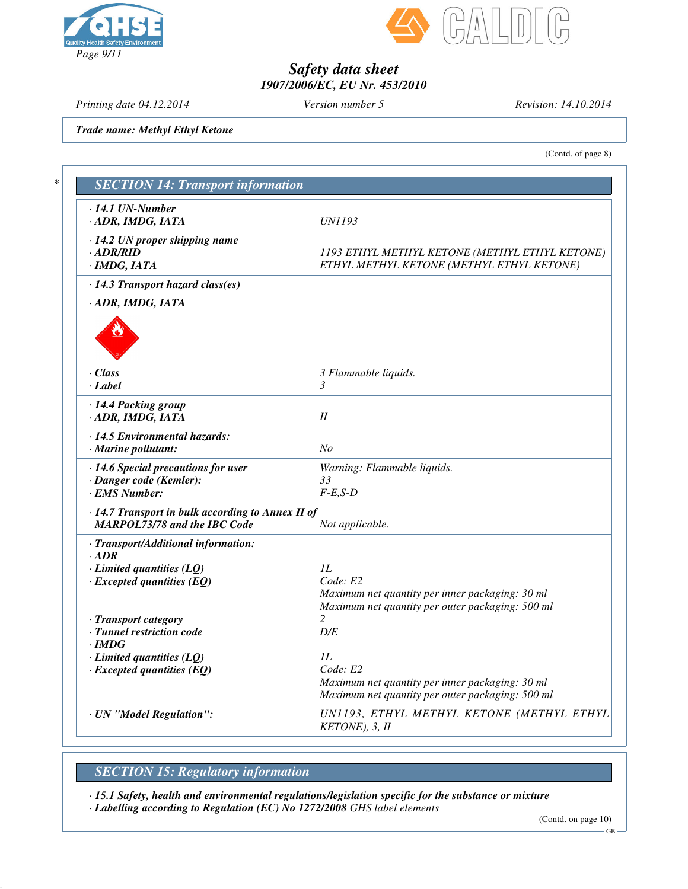



*Printing date 04.12.2014 Version number 5 Revision: 14.10.2014*

*Trade name: Methyl Ethyl Ketone*

(Contd. of page 8)

| $\cdot$ 14.1 UN-Number<br>· ADR, IMDG, IATA                                              | UN1193                                                                                                                |
|------------------------------------------------------------------------------------------|-----------------------------------------------------------------------------------------------------------------------|
| $\cdot$ 14.2 UN proper shipping name<br>$\cdot$ ADR/RID<br>$\cdot$ IMDG, IATA            | 1193 ETHYL METHYL KETONE (METHYL ETHYL KETONE)<br>ETHYL METHYL KETONE (METHYL ETHYL KETONE)                           |
| · 14.3 Transport hazard class(es)                                                        |                                                                                                                       |
| · ADR, IMDG, IATA                                                                        |                                                                                                                       |
| · Class<br>· Label                                                                       | 3 Flammable liquids.<br>3                                                                                             |
| · 14.4 Packing group<br>· ADR, IMDG, IATA                                                | $I\!I$                                                                                                                |
| · 14.5 Environmental hazards:<br>$\cdot$ Marine pollutant:                               | N <sub>o</sub>                                                                                                        |
| · 14.6 Special precautions for user<br>· Danger code (Kemler):<br>· EMS Number:          | Warning: Flammable liquids.<br>33<br>$F-E,S-D$                                                                        |
| · 14.7 Transport in bulk according to Annex II of<br><b>MARPOL73/78 and the IBC Code</b> | Not applicable.                                                                                                       |
| · Transport/Additional information:<br>$\cdot$ ADR                                       |                                                                                                                       |
| $\cdot$ Limited quantities (LQ)<br>$\cdot$ Excepted quantities (EQ)                      | 1L<br>Code: E2<br>Maximum net quantity per inner packaging: 30 ml<br>Maximum net quantity per outer packaging: 500 ml |
| · Transport category<br>· Tunnel restriction code<br>$\cdot$ IMDG                        | $\overline{c}$<br>D/E                                                                                                 |
| $\cdot$ Limited quantities (LQ)<br>$\cdot$ Excepted quantities (EQ)                      | 1L<br>Code: E2<br>Maximum net quantity per inner packaging: 30 ml<br>Maximum net quantity per outer packaging: 500 ml |
| · UN "Model Regulation":                                                                 | UN1193, ETHYL METHYL KETONE (METHYL ETHYL<br>KETONE), 3, II                                                           |

# *SECTION 15: Regulatory information*

*· 15.1 Safety, health and environmental regulations/legislation specific for the substance or mixture · Labelling according to Regulation (EC) No 1272/2008 GHS label elements*

<sup>(</sup>Contd. on page 10)

GB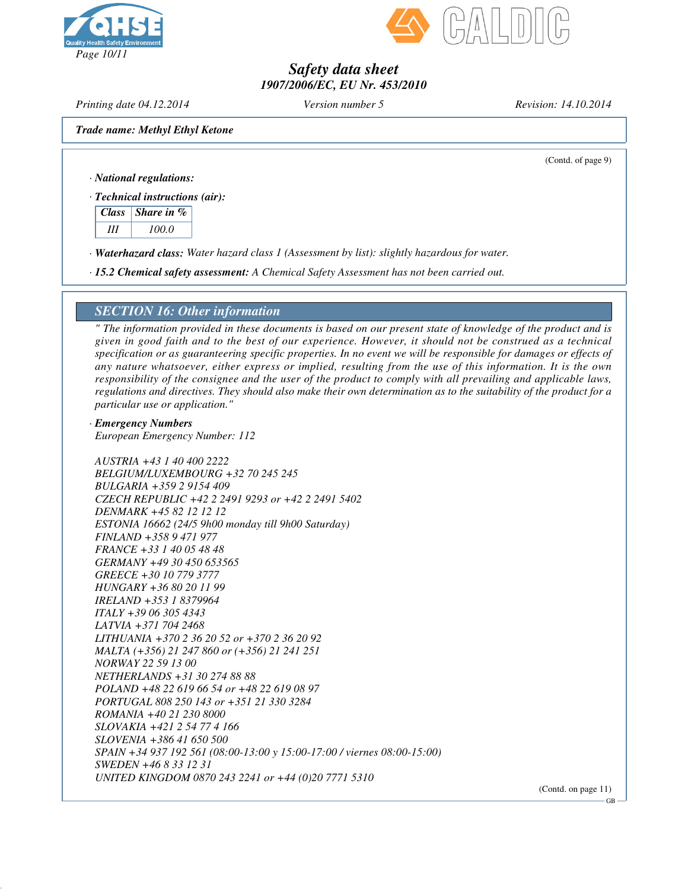



*Printing date 04.12.2014 Version number 5 Revision: 14.10.2014*

*Trade name: Methyl Ethyl Ketone*

(Contd. of page 9)

*· National regulations:*

*· Technical instructions (air):*

*Class Share in % III 100.0*

*· Waterhazard class: Water hazard class 1 (Assessment by list): slightly hazardous for water.*

*· 15.2 Chemical safety assessment: A Chemical Safety Assessment has not been carried out.*

### *SECTION 16: Other information*

" The information provided in these documents is based on our present state of knowledge of the product and is given in good faith and to the best of our experience. However, it should not be construed as a technical specification or as guaranteering specific properties. In no event we will be responsible for damages or effects of any nature whatsoever, either express or implied, resulting from the use of this information. It is the own responsibility of the consignee and the user of the product to comply with all prevailing and applicable laws, regulations and directives. They should also make their own determination as to the suitability of the product for a *particular use or application."*

*· Emergency Numbers European Emergency Number: 112*

*AUSTRIA +43 1 40 400 2222 BELGIUM/LUXEMBOURG +32 70 245 245 BULGARIA +359 2 9154 409 CZECH REPUBLIC +42 2 2491 9293 or +42 2 2491 5402 DENMARK +45 82 12 12 12 ESTONIA 16662 (24/5 9h00 monday till 9h00 Saturday) FINLAND +358 9 471 977 FRANCE +33 1 40 05 48 48 GERMANY +49 30 450 653565 GREECE +30 10 779 3777 HUNGARY +36 80 20 11 99 IRELAND +353 1 8379964 ITALY +39 06 305 4343 LATVIA +371 704 2468 LITHUANIA +370 2 36 20 52 or +370 2 36 20 92 MALTA (+356) 21 247 860 or (+356) 21 241 251 NORWAY 22 59 13 00 NETHERLANDS +31 30 274 88 88 POLAND +48 22 619 66 54 or +48 22 619 08 97 PORTUGAL 808 250 143 or +351 21 330 3284 ROMANIA +40 21 230 8000 SLOVAKIA +421 2 54 77 4 166 SLOVENIA +386 41 650 500 SPAIN +34 937 192 561 (08:00-13:00 y 15:00-17:00 / viernes 08:00-15:00) SWEDEN +46 8 33 12 31 UNITED KINGDOM 0870 243 2241 or +44 (0)20 7771 5310*

(Contd. on page 11)

GB